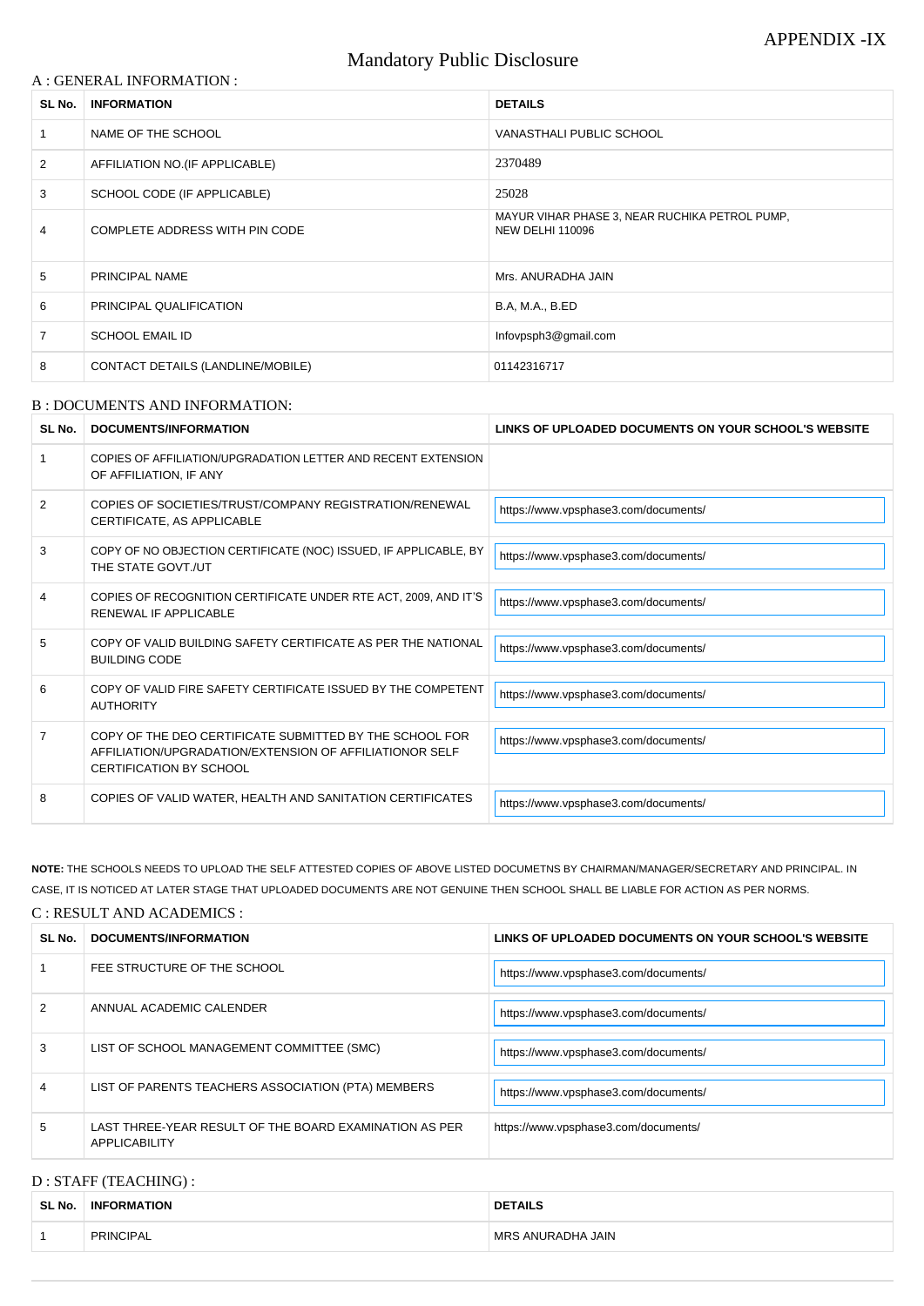# Mandatory Public Disclosure

#### A : GENERAL INFORMATION :

| SL No.         | <b>INFORMATION</b>                       | <b>DETAILS</b>                                                            |
|----------------|------------------------------------------|---------------------------------------------------------------------------|
|                | NAME OF THE SCHOOL                       | VANASTHALI PUBLIC SCHOOL                                                  |
| $\overline{2}$ | AFFILIATION NO. (IF APPLICABLE)          | 2370489                                                                   |
| 3              | SCHOOL CODE (IF APPLICABLE)              | 25028                                                                     |
| 4              | COMPLETE ADDRESS WITH PIN CODE           | MAYUR VIHAR PHASE 3, NEAR RUCHIKA PETROL PUMP,<br><b>NEW DELHI 110096</b> |
| 5              | PRINCIPAL NAME                           | Mrs. ANURADHA JAIN                                                        |
| 6              | PRINCIPAL QUALIFICATION                  | <b>B.A, M.A., B.ED</b>                                                    |
| $\overline{7}$ | <b>SCHOOL EMAIL ID</b>                   | Infovpsph3@gmail.com                                                      |
| 8              | <b>CONTACT DETAILS (LANDLINE/MOBILE)</b> | 01142316717                                                               |

#### B : DOCUMENTS AND INFORMATION:

| SL No.         | DOCUMENTS/INFORMATION                                                                                                                                | LINKS OF UPLOADED DOCUMENTS ON YOUR SCHOOL'S WEBSITE |
|----------------|------------------------------------------------------------------------------------------------------------------------------------------------------|------------------------------------------------------|
|                | COPIES OF AFFILIATION/UPGRADATION LETTER AND RECENT EXTENSION<br>OF AFFILIATION, IF ANY                                                              |                                                      |
| $\overline{2}$ | COPIES OF SOCIETIES/TRUST/COMPANY REGISTRATION/RENEWAL<br>CERTIFICATE, AS APPLICABLE                                                                 | https://www.vpsphase3.com/documents/                 |
| 3              | COPY OF NO OBJECTION CERTIFICATE (NOC) ISSUED, IF APPLICABLE, BY<br>THE STATE GOVT./UT                                                               | https://www.vpsphase3.com/documents/                 |
| 4              | COPIES OF RECOGNITION CERTIFICATE UNDER RTE ACT, 2009, AND IT'S<br>RENEWAL IF APPLICABLE                                                             | https://www.vpsphase3.com/documents/                 |
| 5              | COPY OF VALID BUILDING SAFETY CERTIFICATE AS PER THE NATIONAL<br><b>BUILDING CODE</b>                                                                | https://www.vpsphase3.com/documents/                 |
| 6              | COPY OF VALID FIRE SAFETY CERTIFICATE ISSUED BY THE COMPETENT<br><b>AUTHORITY</b>                                                                    | https://www.vpsphase3.com/documents/                 |
| $\overline{7}$ | COPY OF THE DEO CERTIFICATE SUBMITTED BY THE SCHOOL FOR<br>AFFILIATION/UPGRADATION/EXTENSION OF AFFILIATIONOR SELF<br><b>CERTIFICATION BY SCHOOL</b> | https://www.vpsphase3.com/documents/                 |
| 8              | COPIES OF VALID WATER, HEALTH AND SANITATION CERTIFICATES                                                                                            | https://www.vpsphase3.com/documents/                 |

| 2 | ANNUAL ACADEMIC CALENDER                                                       | https://www.vpsphase3.com/documents/ |
|---|--------------------------------------------------------------------------------|--------------------------------------|
| 3 | LIST OF SCHOOL MANAGEMENT COMMITTEE (SMC)                                      | https://www.vpsphase3.com/documents/ |
| 4 | LIST OF PARENTS TEACHERS ASSOCIATION (PTA) MEMBERS                             | https://www.vpsphase3.com/documents/ |
| 5 | LAST THREE-YEAR RESULT OF THE BOARD EXAMINATION AS PER<br><b>APPLICABILITY</b> | https://www.vpsphase3.com/documents/ |

**NOTE:** THE SCHOOLS NEEDS TO UPLOAD THE SELF ATTESTED COPIES OF ABOVE LISTED DOCUMETNS BY CHAIRMAN/MANAGER/SECRETARY AND PRINCIPAL. IN CASE, IT IS NOTICED AT LATER STAGE THAT UPLOADED DOCUMENTS ARE NOT GENUINE THEN SCHOOL SHALL BE LIABLE FOR ACTION AS PER NORMS.

#### C : RESULT AND ACADEMICS :

| SL No. | DOCUMENTS/INFORMATION       | LINKS OF UPLOADED DOCUMENTS ON YOUR SCHOOL'S WEBSITE |
|--------|-----------------------------|------------------------------------------------------|
|        | FEE STRUCTURE OF THE SCHOOL | https://www.vpsphase3.com/documents/                 |

### D : STAFF (TEACHING) :

| SL No. | <b>INFORMATION</b> | <b>DETAILS</b>    |
|--------|--------------------|-------------------|
|        | PRINCIPAL          | MRS ANURADHA JAIN |